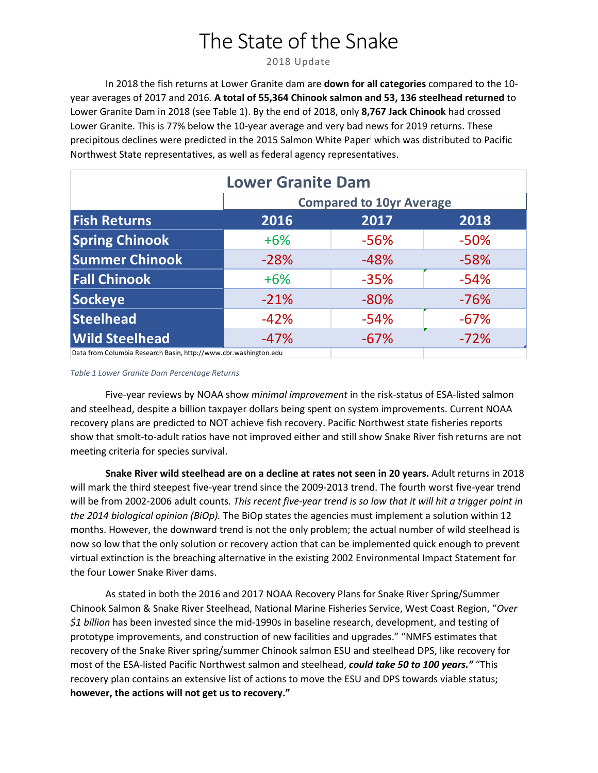# The State of the Snake

2018 Update

In 2018 the fish returns at Lower Granite dam are **down for all categories** compared to the 10 year averages of 2017 and 2016. **A total of 55,364 Chinook salmon and 53, 136 steelhead returned** to Lower Granite Dam in 2018 (see Table 1). By the end of 2018, only **8,767 Jack Chinook** had crossed Lower Granite. This is 77% below the 10-year average and very bad news for 2019 returns. These precipitous declines were predicted in the 2015 Salmon White Paper[i](#page-1-0) which was distributed to Pacific Northwest State representatives, as well as federal agency representatives.

| <b>Lower Granite Dam</b>                                         |                                 |        |        |
|------------------------------------------------------------------|---------------------------------|--------|--------|
|                                                                  | <b>Compared to 10yr Average</b> |        |        |
| <b>Fish Returns</b>                                              | 2016                            | 2017   | 2018   |
| <b>Spring Chinook</b>                                            | $+6%$                           | $-56%$ | $-50%$ |
| <b>Summer Chinook</b>                                            | $-28%$                          | $-48%$ | $-58%$ |
| <b>Fall Chinook</b>                                              | $+6%$                           | $-35%$ | $-54%$ |
| Sockeye                                                          | $-21%$                          | $-80%$ | $-76%$ |
| Steelhead                                                        | $-42%$                          | $-54%$ | $-67%$ |
| <b>Wild Steelhead</b>                                            | $-47%$                          | $-67%$ | $-72%$ |
| Data from Columbia Research Basin, http://www.cbr.washington.edu |                                 |        |        |

#### *Table 1 Lower Granite Dam Percentage Returns*

Five-year reviews by NOAA show *minimal improvement* in the risk-status of ESA-listed salmon and steelhead, despite a billion taxpayer dollars being spent on system improvements. Current NOAA recovery plans are predicted to NOT achieve fish recovery. Pacific Northwest state fisheries reports show that smolt-to-adult ratios have not improved either and still show Snake River fish returns are not meeting criteria for species survival.

**Snake River wild steelhead are on a decline at rates not seen in 20 years.** Adult returns in 2018 will mark the third steepest five-year trend since the 2009-2013 trend. The fourth worst five-year trend will be from 2002-2006 adult counts*. This recent five-year trend is so low that it will hit a trigger point in the 2014 biological opinion (BiOp).* The BiOp states the agencies must implement a solution within 12 months. However, the downward trend is not the only problem; the actual number of wild steelhead is now so low that the only solution or recovery action that can be implemented quick enough to prevent virtual extinction is the breaching alternative in the existing 2002 Environmental Impact Statement for the four Lower Snake River dams.

As stated in both the 2016 and 2017 NOAA Recovery Plans for Snake River Spring/Summer Chinook Salmon & Snake River Steelhead, National Marine Fisheries Service, West Coast Region, "*Over \$1 billion* has been invested since the mid-1990s in baseline research, development, and testing of prototype improvements, and construction of new facilities and upgrades." "NMFS estimates that recovery of the Snake River spring/summer Chinook salmon ESU and steelhead DPS, like recovery for most of the ESA-listed Pacific Northwest salmon and steelhead, *could take 50 to 100 years."* "This recovery plan contains an extensive list of actions to move the ESU and DPS towards viable status; **however, the actions will not get us to recovery."**